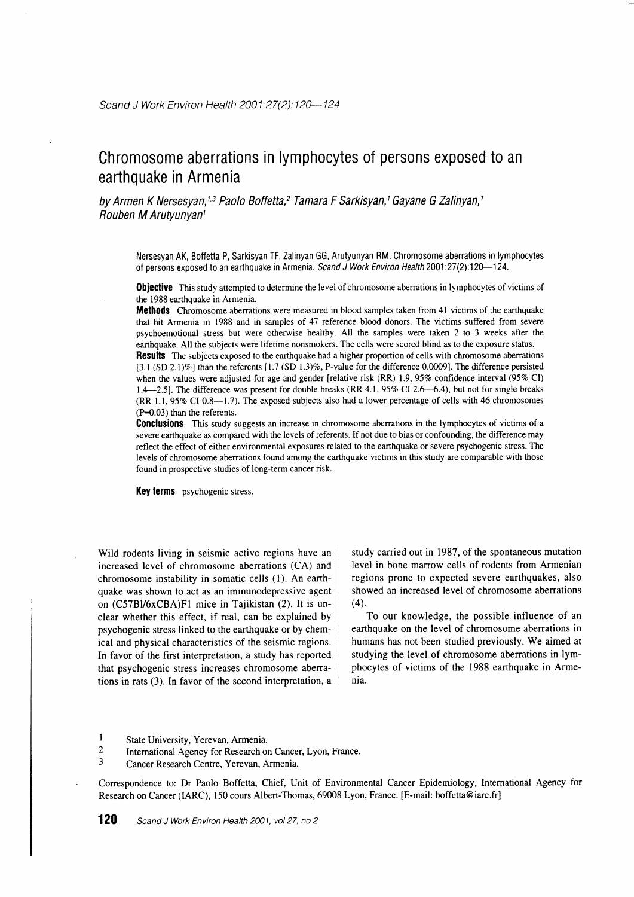# Chromosome aberrations in lymphocytes of persons exposed to an earthquake in Armenia

by Armen K Nersesyan,<sup>1,3</sup> Paolo Boffetta,<sup>2</sup> Tamara F Sarkisyan,<sup>1</sup> Gayane G Zalinyan,<sup>1</sup> Rouben M Arutyunyanl

Nersesyan AK, Boffetta P, Sarkisyan TF, Zalinyan GG, Arutyunyan RM. Chromosome aberrations in lymphocytes of persons exposed to an earthquake in Armenia. Scand J Work Environ Health 2001;27(2):120--124.

**Obiective** This study attempted to determine the level of chromosome aberrations in lymphocytes of victims of the 1988 earthquake in Armenia.

**Methods** Chromosome aberrations were measured in blood samples taken from 41 victims of the earthquake that hit Armenia in 1988 and in samples of 47 reference blood donors. The victims suffered from severe psychoemotional stress but were otherwise healthy. All the samples were taken 2 to 3 weeks after the earthquake. All the subjects were lifetime nonsmokers. The cells were scored blind as to the exposure status.

Results The subjects exposed to the earthquake had a higher proportion of cells with chromosome aberrations [3.1 (SD 2.1)%] than the referents  $[1.7$  (SD 1.3)%, P-value for the difference 0.0009]. The difference persisted when the values were adjusted for age and gender [relative risk  $(RR)$  1.9,95% confidence interval (95% CI)  $1.4-2.5$ . The difference was present for double breaks (RR 4.1, 95% CI 2.6–6.4), but not for single breaks (RR  $1.1$ , 95% CI 0.8-1.7). The exposed subjects also had a lower percentage of cells with 46 chromosomes  $(P=0.03)$  than the referents.

Conclusions This study suggests an increase in chromosome aberrations in the lymphocytes of victims of a severe earthquake as compared with the levels of referents. If not due to bias or confounding, the difference may reflect the effect of either environmental exposures related to the earthquake or severe psychogenic stress. The levels of chromosome aberrations found among the earthquake victims in this srudy are comparable with those found in prospective studies of long-term cancer risk.

Key terms psychogenic stress.

Wild rodents living in seismic active regions have an increased level of chromosome aberrations (CA) and chromosome instability in somatic cells (l). An earthquake was shown to act as an immunodepressive agent on (C57BV6xCBA)FI mice in Tajikistan (2). It is unclear whether this effect, if real, can be explained by psychogenic stress linked to the earthquake or by chemical and physical characteristics of the seismic regions. In favor of the first interpretation, a study has reported that psychogenic stress increases chromosome aberrations in rats (3). In favor of the second interpretation, a study carried out in 1987, of the spontaneous mutation level in bone marrow cells of rodents from Armenian regions prone to expected severe earthquakes, also showed an increased level of chromosome aberrations  $(4)$ 

To our knowledge, the possible influence of an earthquake on the level of chromosome aberrations in humans has not been studied previously. We aimed at studying the level of chromosome aberrations in lymphocytes of victims of the 1988 earthquake in Armenia.

- 1 State University, Yerevan, Armenia.<br>2 International Agency for Research of
- <sup>2</sup> International Agency for Research on Cancer, Lyon, France.<br><sup>3</sup> Cancer Besearch Centre, Vereyan, Armenia
- Cancer Research Centre, Yerevan, Armenia.

Correspondence to: Dr Paolo Boffetta, Chief, Unit of Environmental Cancer Epidemiology, International Agency for Research on Cancer (IARC), 150 cours Albert-Thomas, 69008 Lyon, France. [E-mail: boffetta@iarc.fr]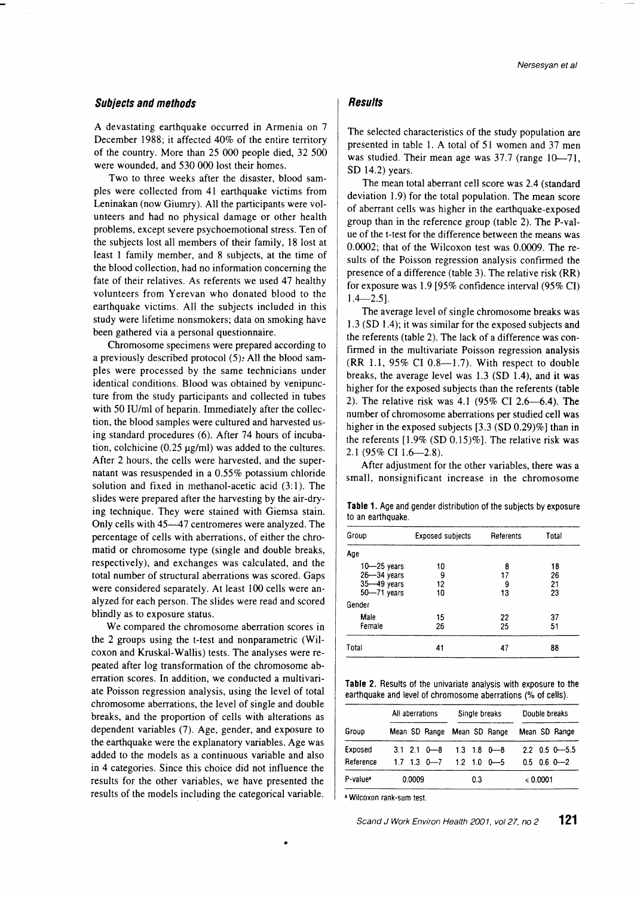## Suhjects and methods

A devastating earthquake occurred in Armenia on 7 December 1988; it affected  $40\%$  of the entire territory of the country. More than 25 000 people died, 32 500 were wounded, and 530 000 lost their homes.

Two to three weeks after the disaster, blood samples were collected from 4l earthquake victims from Leninakan (now Giumry). All the participants were volunteers and had no physical damage or other health problems, except severe psychoemotional stress. Ten of the subjects lost all members of their family, l8 lost at least I family member, and 8 subjects, at the time of the blood collection, had no information concerning the fate of their relatives. As referents we used 47 healthy volunteers from Yerevan who donated blood to the earthquake victims. All the subjects included in this study were lifetime nonsmokers; data on smoking have been gathered via a personal questionnaire.

Chromosome specimens were prepared according to a previously described protocol  $(5)$ . All the blood samples were processed by the same technicians under identical conditions. Blood was obtained by venipuncture from the study participants and collected in tubes with 50 IU/ml of heparin. Immediately after the collection, the blood samples were cultured and harvested using standard procedures (6). After 74 hours of incubation, colchicine  $(0.25 \text{ µg/ml})$  was added to the cultures. After 2 hours, the cells were harvested, and the supernatant was resuspended in a  $0.55\%$  potassium chloride solution and fixed in methanol-acetic acid (3:l). The slides were prepared after the harvesting by the air-drying technique. They were stained with Giemsa stain. Only cells with 45--47 centromeres were analyzed. The percentage of cells with aberrations, of either the chromatid or chromosome type (single and double breaks, respectively), and exchanges was calculated, and the total number of structural aberrations was scored. Gaps were considered separately. At least 100 cells were analyzed for each person. The slides were read and scored blindly as to exposure status.

We compared the chromosome aberration scores in the 2 groups using the t-test and nonparametric (Wilcoxon and Kruskal-Wallis) tests. The analyses were repeated after log transformation of the chromosome aberration scores. In addition, we conducted a multivariate Poisson regression analysis, using the level of total chromosome aberrations, the level of single and double breaks, and the proportion of cells with alterations as dependent variables (7). Age, gender, and exposure to the earthquake were the explanatory variables. Age was added to the models as a continuous variable and also in 4 categories. Since this choice did not influence the results for the other variables, we have presented the results of the models including the categorical variable.

## **Results**

The selected characteristics of the study population are presented in table l. A total of 51 women and 37 men was studied. Their mean age was  $37.7$  (range  $10-71$ , SD 14.2) years.

The mean total aberrant cell score was 2.4 (standard deviation 1.9) for the total population. The mean score of aberrant cells was higher in the earthquake-exposed group than in the reference group (table 2). The P-value of the t-test for the difference between the means was 0.0002; that of the Wilcoxon test was 0.0009. The results of the Poisson regression analysis confirmed the presence of a difference (table 3). The relative risk (RR) for exposure was 1.9 [95% confidence interval (95% CI)  $1.4 - 2.5$ ].

The average level of single chromosome breaks was 1.3 (SD 1.4); it was similar for the exposed subjects and the referents (table 2). The lack of a difference was confirmed in the multivariate Poisson regression analysis  $(RR$  1.1, 95% CI 0.8-1.7). With respect to double breaks, the average level was 1.3 (SD 1.4), and it was higher for the exposed subjects than the referents (table 2). The relative risk was 4.1 (95% CI 2.6-6.4). The number of chromosome aberrations per studied cell was higher in the exposed subjects  $[3.3 (SD 0.29)\%]$  than in the referents  $[1.9\%$  (SD 0.15)%]. The relative risk was 2.1 (95% CI 1.6-2.8).

After adjustment for the other variables, there was a small, nonsignificant increase in the chromosome

Table 1. Age and gender distribution of the subjects by exposure to an earthquake.

| Group           | <b>Exposed subjects</b> | Referents | Total |
|-----------------|-------------------------|-----------|-------|
| Age             |                         |           |       |
| $10 - 25$ years | 10                      | 8         | 18    |
| $26 - 34$ years | 9                       | 17        | 26    |
| 35-49 years     | 12                      | 9         | 21    |
| $50 - 71$ years | 10                      | 13        | 23    |
| Gender          |                         |           |       |
| Male            | 15                      | 22        | 37    |
| Female          | 26                      | 25        | 51    |
| Total           | 41                      | 47        | 88    |

Table 2. Results of the univariate analysis with exposure to the earthquake and level of chromosome aberrations (% of cells).

|                      | All aberrations     | Single breaks               | Double breaks      |  |
|----------------------|---------------------|-----------------------------|--------------------|--|
| Group                |                     | Mean SD Range Mean SD Range | Mean SD Range      |  |
| Exposed              | $3.1$ $2.1$ $0 - 8$ | $1.3$ 1.8 0 $-8$            | $2.2$ 0.5 0 $-5.5$ |  |
| Reference            | $1.7$ 1.3 0 $-7$    | $1.2$ 1.0 0 $-5$            | $0.5$ 0.6 0 $-2$   |  |
| P-value <sup>2</sup> | 0.0009              | 0.3                         | < 0.0001           |  |

<sup>a</sup> Wilcoxon rank-sum test.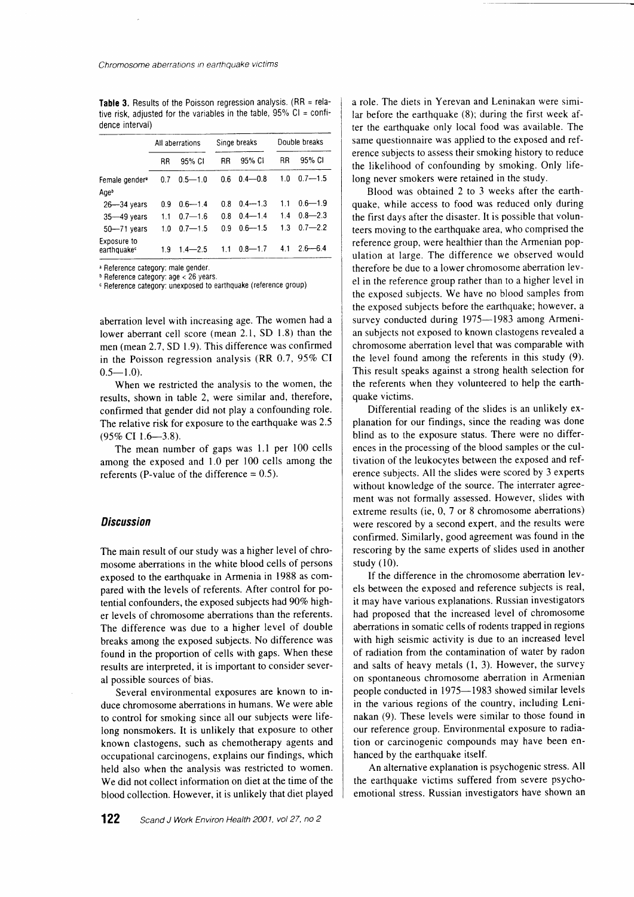Table 3. Results of the Poisson regression analysis.  $(RR =$  relative risk, adjusted for the variables in the table,  $95\%$  Cl = confidence interval)

|                                        | All aberrations |             | Singe breaks |             | Double breaks |             |
|----------------------------------------|-----------------|-------------|--------------|-------------|---------------|-------------|
|                                        | <b>RR</b>       | 95% CI      | <b>RR</b>    | 95% CI      | RR            | 95% CI      |
| Female gender <sup>a</sup><br>Age      | 0.7             | $0.5 - 1.0$ | 0.6          | $0.4 - 0.8$ | 1.0           | $0.7 - 1.5$ |
| $26 - 34$ vears                        | 0.9             | $0.6 - 1.4$ | 0.8          | $0.4 - 1.3$ | 1.1           | $0.6 - 1.9$ |
| $35 - 49$ years                        | 11              | $0.7 - 1.6$ | 0.8          | $0.4 - 1.4$ | 1.4           | $0.8 - 2.3$ |
| $50 - 71$ years                        | 1.0             | $07 - 15$   | 0 9          | $0.6 - 1.5$ | 1.3           | $0.7 - 2.2$ |
| Exposure to<br>earthquake <sup>c</sup> | 19              | $1.4 - 2.5$ | 11           | $0.8 - 1.7$ | 4.1           | 2 6—6.4     |

<sup>a</sup> Reference category: male gender.

b Reference category: age < 26 years.

c Reference category: unexposed to earthquake (reference group)

aberration level with increasing age. The women had a lower aberrant cell score (mean 2.1, SD 1.8) than the men (mean 2.7, SD 1.9). This difference was confirmed in the Poisson regression analysis  $(RR\ 0.7, 95\% \text{ CI})$  $0.5 - 1.0$ .

When we restricted the analysis to the women, the results, shown in table 2, were similar and, therefore, confirmed that gender did not play a confounding role. The relative risk for exposure to the earthquake was 2.5 (95% CI 1.6-3.8).

The mean number of gaps was l.l per 100 cells among the exposed and 1.0 per 100 cells among the referents (P-value of the difference  $= 0.5$ ).

#### **Discussion**

The main result of our study was a higher level of chromosome aberrations in the white blood cells of persons exposed to the earthquake in Armenia in 1988 as compared with the levels of referents. After control for potential confounders, the exposed subjects had 90% higher levels of chromosome abenations than the referents. The difference was due to a higher level of double breaks among the exposed subjects. No difference was found in the proportion of cells with gaps. When these results are interpreted, it is important to consider several possible sources of bias.

Several environmental exposures are known to induce chromosome aberrations in humans. We were able to control for smoking since all our subjects were lifelong nonsmokers. It is unlikely that exposure to other known clastogens, such as chemotherapy agents and occupational carcinogens, explains our findings, which held also when the analysis was restricted to women. We did not collect information on diet at the time of the blood collection. However, it is unlikely that diet played a role. The diets in Yerevan and Leninakan were similar before the earthquake (8); during the first week after the earthquake only local food was available. The same questionnaire was applied to the exposed and reference subjects to assess their smoking history to reduce the likelihood of confounding by smoking. Only lifelong never smokers were retained in the study.

Blood was obtained 2 to 3 weeks after the earthquake, while access to food was reduced only during the first days after the disaster. It is possible that volunteers moving to the earthquake area, who comprised the reference group, were healthier than the Armenian population at large. The difference we observed would therefore be due to a lower chromosome aberration level in the reference group rather than to a higher level in the exposed subjects. We have no blood samples from the exposed subjects before the earthquake; however, a survey conducted during 1975-1983 among Armenian subjects not exposed to known clastogens revealed a chromosome aberration level that was comparable with the level found among the referents in this study (9). This result speaks against a strong health selection for the referents when they volunteered to help the earthquake victims.

Differential reading of the slides is an unlikely explanation for our findings, since the reading was done blind as to the exposure status. There were no differences in the processing of the blood samples or the cultivation of the leukocytes between the exposed and reference subjects. All the slides were scored by 3 experts without knowledge of the source. The interrater agreement was not formally assessed. However, slides with extreme results (ie, 0, 7 or 8 chromosome aberrations) were rescored by a second expert, and the results were confirmed. Similarly, good agreement was found in the rescoring by the same experts of slides used in another study  $(10)$ .

If the difference in the chromosome aberration levels between the exposed and reference subjects is real, it may have various explanations. Russian investigators had proposed that the increased level of chromosome aberrations in somatic cells of rodents trapped in regions with high seismic activity is due to an increased level of radiation from the contamination of water by radon and salts of heavy metals  $(1, 3)$ . However, the survey on spontaneous chromosome aberration in Armenian people conducted in 1975-1983 showed similar levels in the various regions of the country, including Leninakan (9). These levels were similar to those found in our reference group. Environmental exposure to radiation or carcinogenic compounds may have been enhanced by the earthquake itself.

An alternative explanation is psychogenic stress. All the earthquake victims suffered from severe psychoemotional stress. Russian investigators have shown an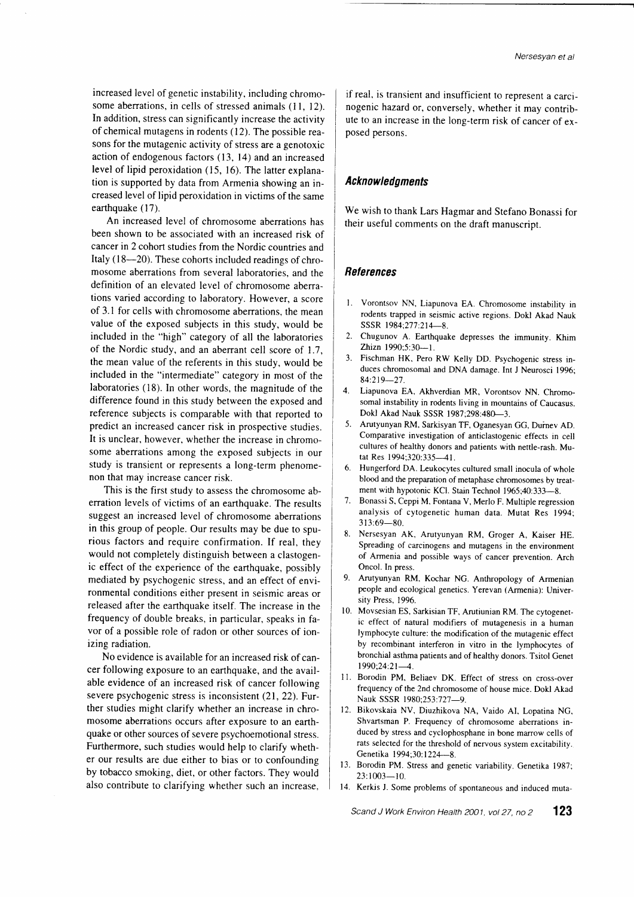increased level of genetic instability, including chromosome aberrations, in cells of stressed animals (11, 12). In addition, stress can significantly increase the activity of chemical mutagens in rodents (12). The possible reasons for the mutagenic activity of stress are a genotoxic action of endogenous factors (13, l4) and an increased level of lipid peroxidation (15, l6). The latrer explanation is supported by data from Armenia showing an increased level of lipid peroxidation in victims of the same earthquake (17).

An increased level of chromosome aberrations has been shown to be associated with an increased risk of cancer in 2 cohort studies from the Nordic countries and Italy (18-20). These cohorts included readings of chromosome aberrations from several laboratories, and the definition of an elevated level of chromosome aberrations varied according to laboratory. However, a score of 3.1 for cells with chromosome aberrations, the mean value of the exposed subjects in this study, would be included in the "high" category of all the laboratories of the Nordic study, and an aberrant cell score of 1.7 , the mean value of the referents in this study, would be included in the "intermediate" category in most of the laboratories (18). In other words, the magnitude of the difference found in this study between the exposed and reference subjects is comparable with that reported to predict an increased cancer risk in prospective studies. It is unclear, however, whether the increase in chromosome aberrations among the exposed subjects in our study is transient or represents a long-term phenomenon that may increase cancer risk.

This is the first study to assess the chromosome aberration levels of victims of an earthquake. The results suggest an increased level of chromosome aberrations in this group of people. Our results may be due to spurious factors and require confirmation. If real, they would not completely distinguish between a clastogenic effect of the experience of the earthquake, possibly mediated by psychogenic stress, and an effect of environmental conditions either present in seismic areas or released after the earthquake itself. The increase in the frequency of double breaks, in particular, speaks in favor of a possible role of radon or other sources of ionizing radiation.

No evidence is available for an increased risk of cancer following exposure to an earthquake, and the available evidence of an increased risk of cancer following severe psychogenic stress is inconsistent (21, 22). Further studies might clarify whether an increase in chromosome aberrations occurs after exposure to an earthquake or other sources of severe psychoemotional stress. Furthermore, such studies would help to clarify whether our results are due either to bias or to confounding by tobacco smoking, diet, or other factors. They would also contribute to clarifying whether such an increase

if real, is transient and insufficient to represent a carcinogenic hazard or, conversely, whether it may contribute to an increase in the long-term risk of cancer of exposed persons.

## Acknowledgments

We wish to thank Lars Hagmar and Stefano Bonassi for their useful comments on the draft manuscript.

### **References**

- L Vorontsov NN, Liapunova EA. Chromosome instability in rodents trapped in seismic active regions. Dokl Akad Nauk SSSR 1984;277:214-8.
- 2. Chugunov A. Earthquake depresses the immunity. Khim Zhizn 1990;5:30-1.
- 3. Fischman HK, Pero RW Kelly DD. Psychogenic stress induces chromosomal and DNA damage. Int J Neurosci 1996; 84:219-27.
- 4. Liapunova EA, Akhverdian MR, Vorontsov NN. Chromosomal instability in rodents living in mountains of Caucasus. Dokl Akad Nauk SSSR 1987;298:480-3.
- 5. Arutyunyan RM, Sarkisyan TF, Oganesyan GG, Duinev AD. Comparative investigation of anticlastogenic effects in cell cultures of healthy donors and patients with nettle-rash. Mutat Res 1994;320:335-41.
- 6. Hungerford DA. Leukocytes cultured small inocula of whole blood and the preparation of metaphase chromosomes by treatment with hypotonic KCl. Stain Technol 1965;40:333-8.
- 7. Bonassi S, Ceppi M, Fontana V, Merlo F. Multiple regression analysis of cytogenetic human data. Mutat Res 1994; 313:69-80.
- 8. Nersesyan AK, Arutyunyan RM, Groger A, Kaiser HE. Spreading of carcinogens and mutagens in the environment of Armenia and possible ways of cancer prevention. Arch Oncol. In press.
- 9. Arutyunyan RM, Kochar NG. Anthropology of Armenian people and ecological genetics. Yerevan (Armenia): University Press, 1996.
- 10. Movsesian ES, Sarkisian TF, Arutiunian RM. The cytogenetic effect of natural modifiers of mutagenesis in a human lymphocyte culture: the modification of the mutagenic effect by recombinant interferon in vitro in the lymphocytes of bronchial asthma parients and of healthy donors. Tsitol Genet  $1990:24:21-4$ .
- 11. Borodin PM, Beliaev DK. Effect of stress on cross-over frequency of the 2nd chromosome of house mice. Dokl Akad Nauk SSSR 1980;253:727-9.
- 12. Bikovskaia NV, Diuzhikova NA, Vaido AI, Lopatina NG, Shvartsman P. Frequency of chromosome aberrations induced by stress and cyclophosphane in bone marrow cells of rats selected for the threshold of nervous svstem excitabilitv Genetika 1994;30:1224-8.
- 13. Borodin PM. Stress and genetic variability. Genetika 1987;  $23:1003 - 10.$
- 14. Kerkis J. Some problems of spontaneous and induced muta-

Scand J Work Environ Health 2001, vol 27, no  $2$  123